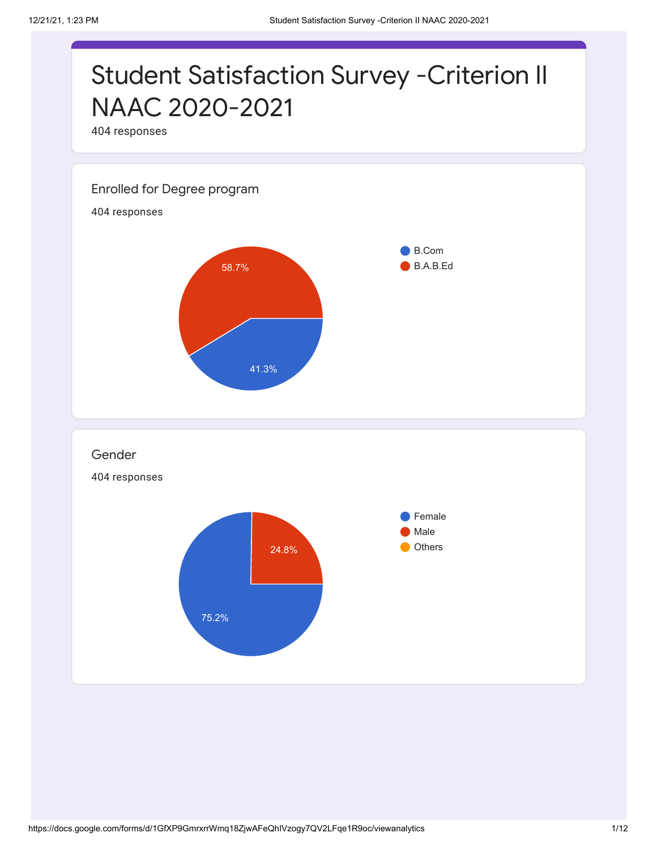## Student Satisfaction Survey -Criterion II NAAC 2020-2021

404 responses

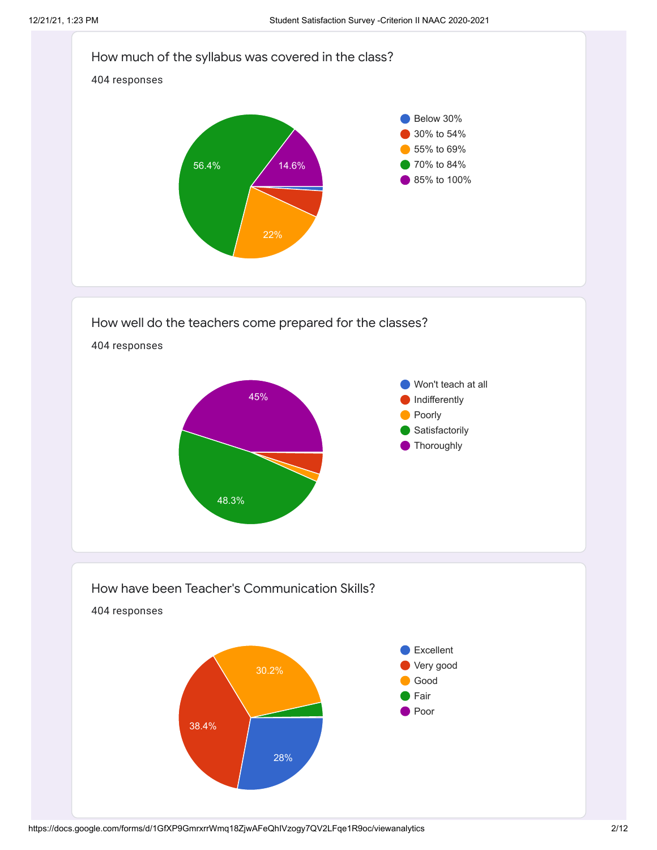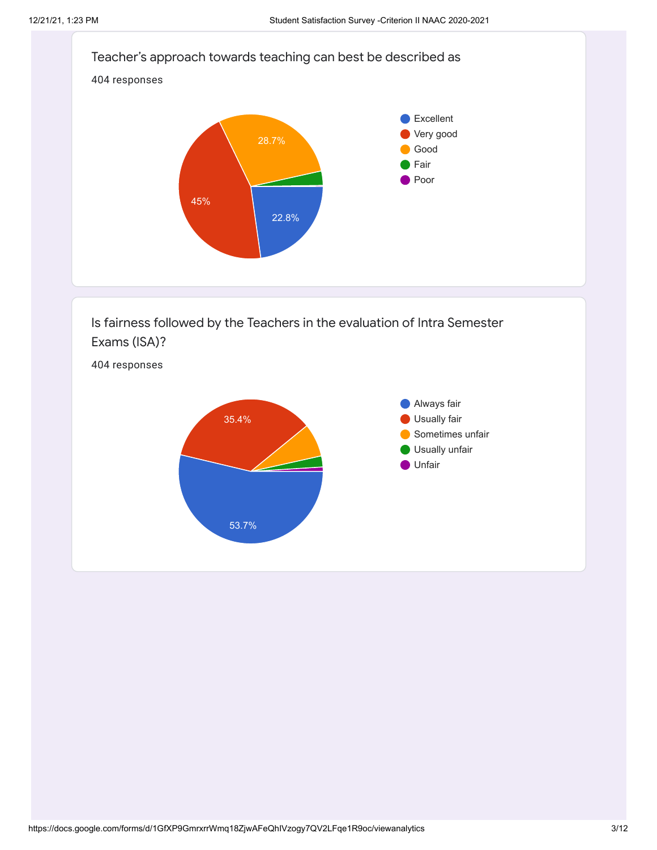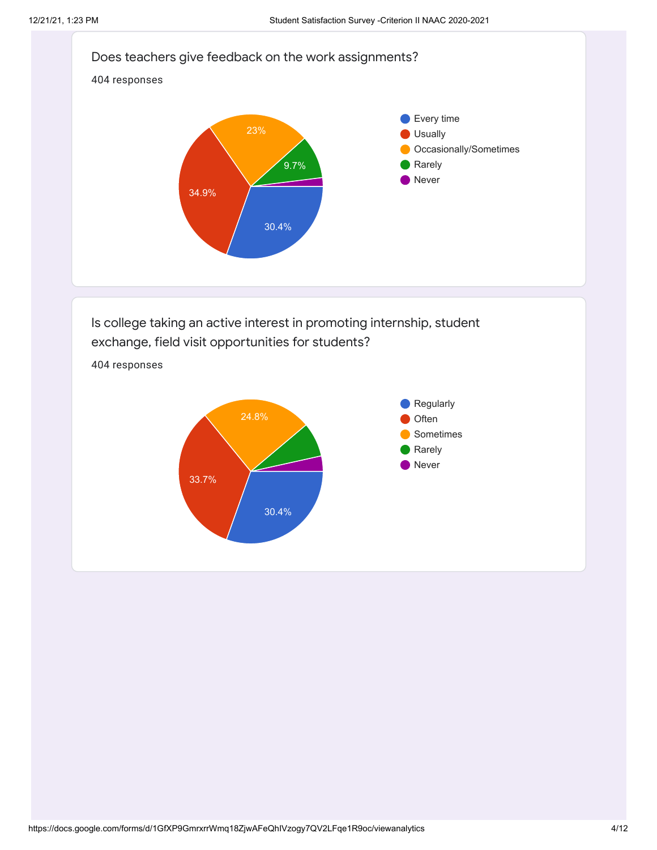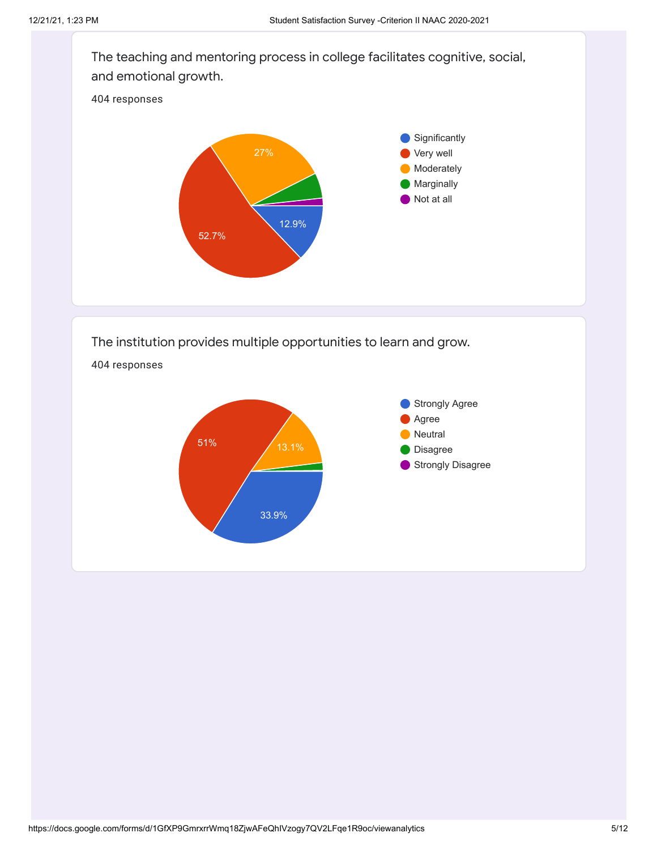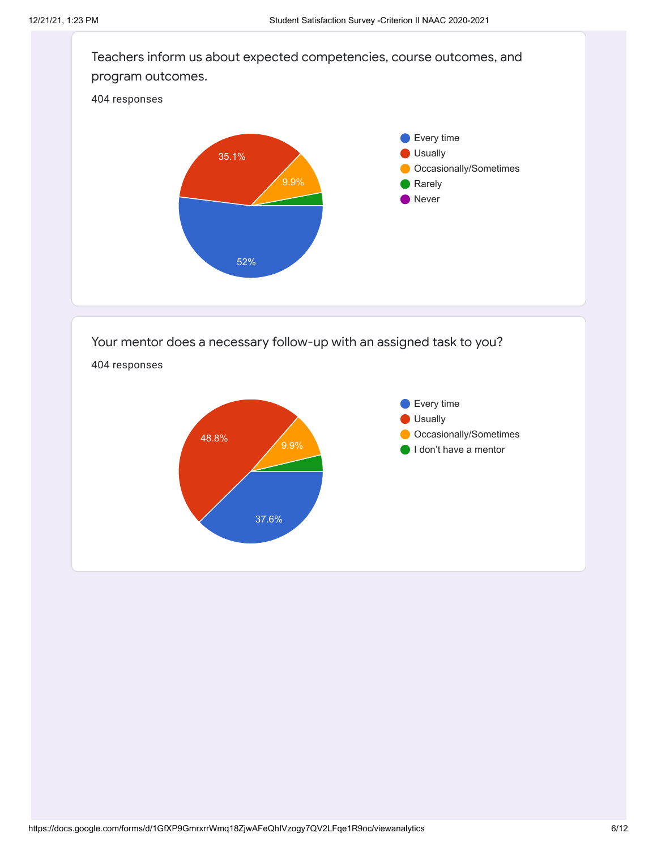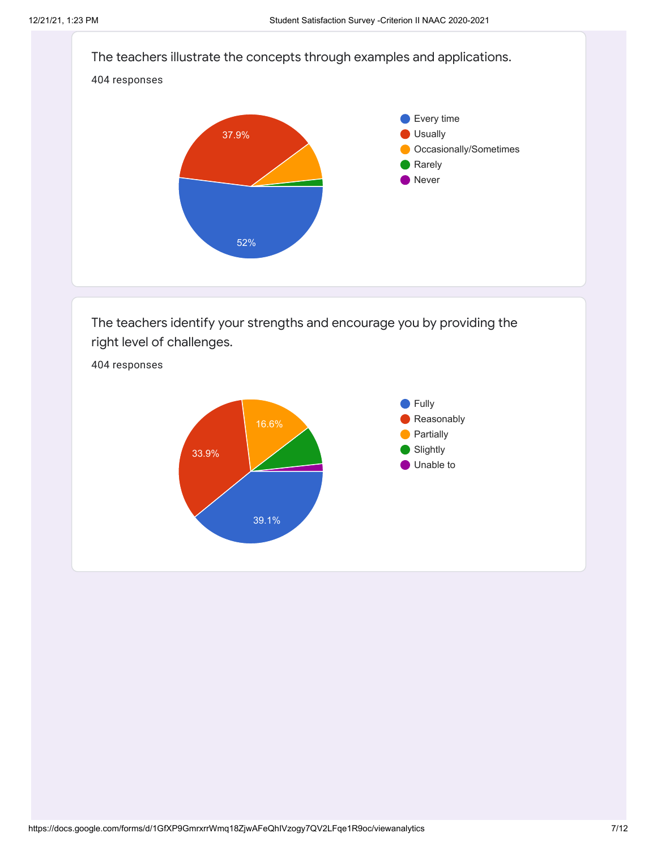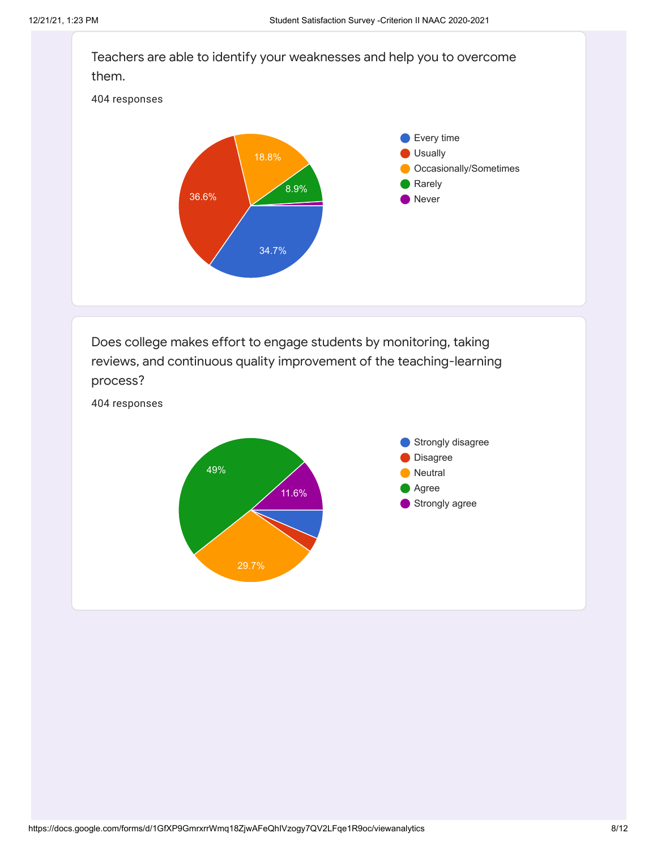

Does college makes effort to engage students by monitoring, taking reviews, and continuous quality improvement of the teaching-learning process?

404 responses

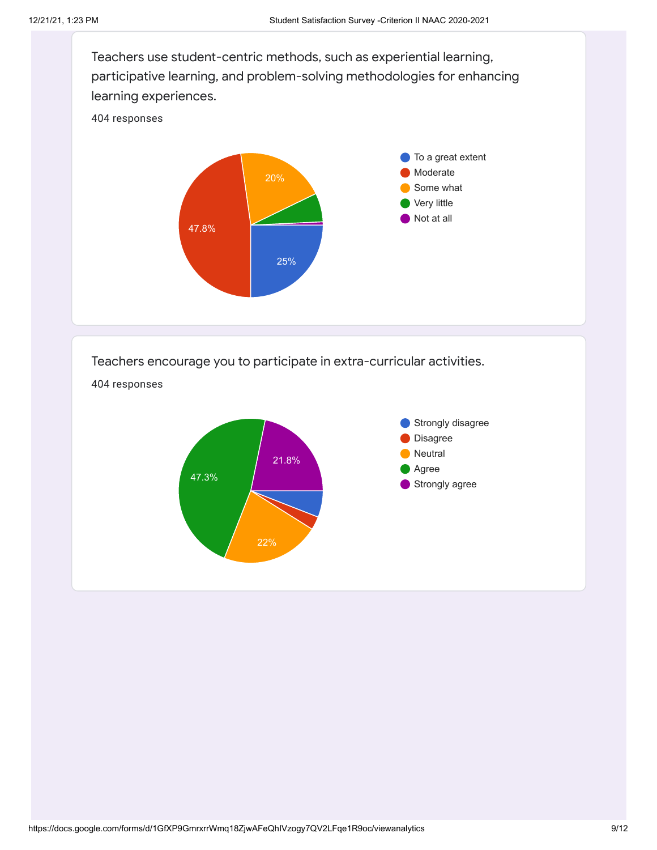

## Teachers encourage you to participate in extra-curricular activities.

404 responses

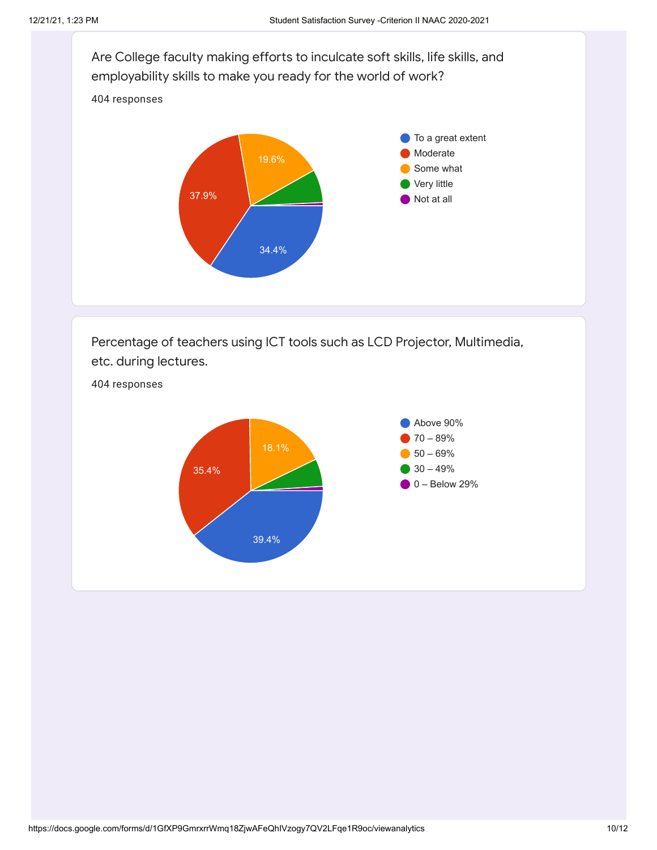

Percentage of teachers using ICT tools such as LCD Projector, Multimedia, etc. during lectures.



404 responses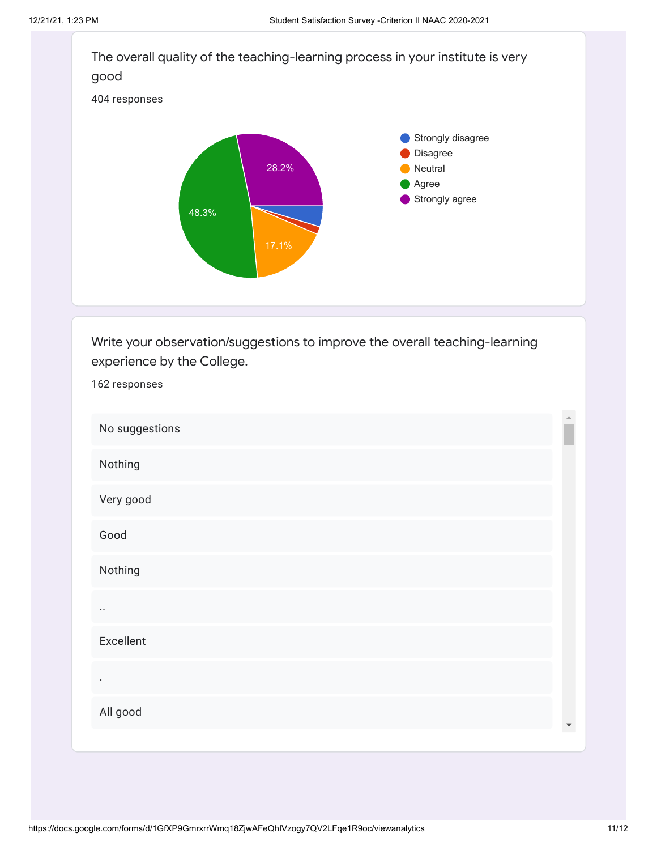162 responses



Write your observation/suggestions to improve the overall teaching-learning experience by the College.

 $\triangle$ No suggestions Nothing Very good Good Nothing .. Excellent . All good